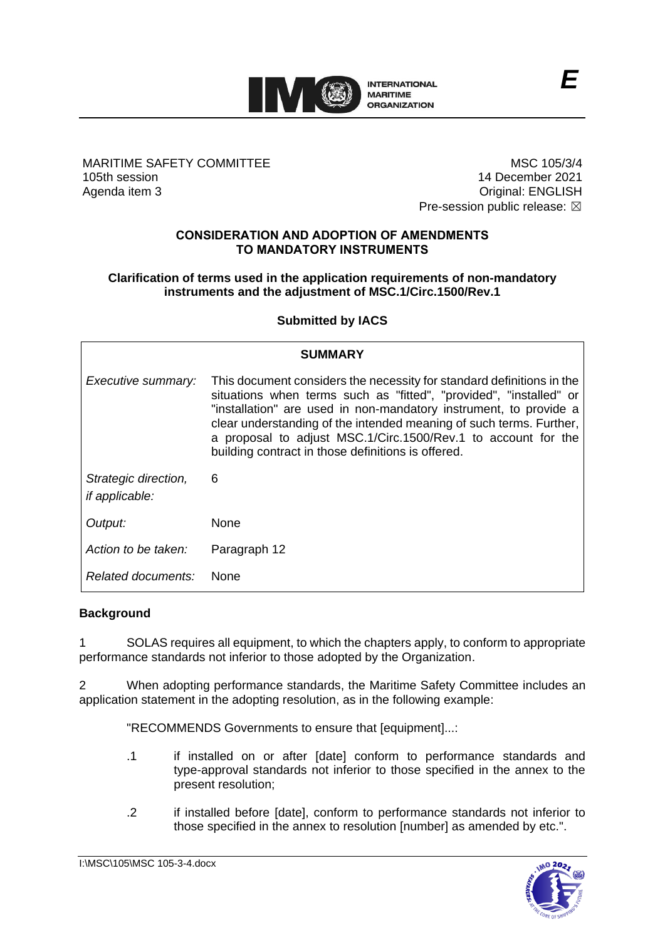

MARITIME SAFETY COMMITTEE 105th session Agenda item 3

MSC 105/3/4 14 December 2021 Original: ENGLISH Pre-session public release:  $\boxtimes$ 

### **CONSIDERATION AND ADOPTION OF AMENDMENTS TO MANDATORY INSTRUMENTS**

### **Clarification of terms used in the application requirements of non-mandatory instruments and the adjustment of MSC.1/Circ.1500/Rev.1**

## **Submitted by IACS**

| <b>SUMMARY</b>                                |                                                                                                                                                                                                                                                                                                                                                                                                                |
|-----------------------------------------------|----------------------------------------------------------------------------------------------------------------------------------------------------------------------------------------------------------------------------------------------------------------------------------------------------------------------------------------------------------------------------------------------------------------|
| Executive summary:                            | This document considers the necessity for standard definitions in the<br>situations when terms such as "fitted", "provided", "installed" or<br>"installation" are used in non-mandatory instrument, to provide a<br>clear understanding of the intended meaning of such terms. Further,<br>a proposal to adjust MSC.1/Circ.1500/Rev.1 to account for the<br>building contract in those definitions is offered. |
| Strategic direction,<br><i>if applicable:</i> | 6                                                                                                                                                                                                                                                                                                                                                                                                              |
| Output:                                       | None                                                                                                                                                                                                                                                                                                                                                                                                           |
| Action to be taken:                           | Paragraph 12                                                                                                                                                                                                                                                                                                                                                                                                   |
| Related documents:                            | <b>None</b>                                                                                                                                                                                                                                                                                                                                                                                                    |

### **Background**

1 SOLAS requires all equipment, to which the chapters apply, to conform to appropriate performance standards not inferior to those adopted by the Organization.

2 When adopting performance standards, the Maritime Safety Committee includes an application statement in the adopting resolution, as in the following example:

"RECOMMENDS Governments to ensure that [equipment]...:

- .1 if installed on or after [date] conform to performance standards and type-approval standards not inferior to those specified in the annex to the present resolution;
- .2 if installed before [date], conform to performance standards not inferior to those specified in the annex to resolution [number] as amended by etc.".

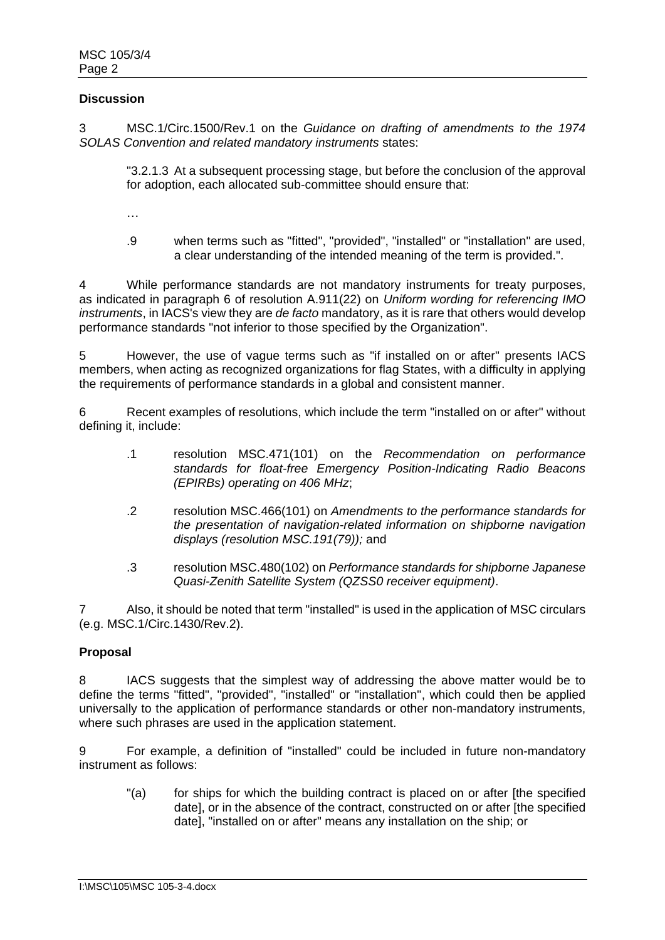### **Discussion**

3 MSC.1/Circ.1500/Rev.1 on the *Guidance on drafting of amendments to the 1974 SOLAS Convention and related mandatory instruments* states:

"3.2.1.3 At a subsequent processing stage, but before the conclusion of the approval for adoption, each allocated sub-committee should ensure that:

…

.9 when terms such as "fitted", "provided", "installed" or "installation" are used, a clear understanding of the intended meaning of the term is provided.".

4 While performance standards are not mandatory instruments for treaty purposes, as indicated in paragraph 6 of resolution A.911(22) on *Uniform wording for referencing IMO instruments*, in IACS's view they are *de facto* mandatory, as it is rare that others would develop performance standards "not inferior to those specified by the Organization".

5 However, the use of vague terms such as "if installed on or after" presents IACS members, when acting as recognized organizations for flag States, with a difficulty in applying the requirements of performance standards in a global and consistent manner.

6 Recent examples of resolutions, which include the term "installed on or after" without defining it, include:

- .1 resolution MSC.471(101) on the *Recommendation on performance standards for float-free Emergency Position-Indicating Radio Beacons (EPIRBs) operating on 406 MHz*;
- .2 resolution MSC.466(101) on *Amendments to the performance standards for the presentation of navigation-related information on shipborne navigation displays (resolution MSC.191(79));* and
- .3 resolution MSC.480(102) on *Performance standards for shipborne Japanese Quasi-Zenith Satellite System (QZSS0 receiver equipment)*.

7 Also, it should be noted that term "installed" is used in the application of MSC circulars (e.g. MSC.1/Circ.1430/Rev.2).

### **Proposal**

8 IACS suggests that the simplest way of addressing the above matter would be to define the terms "fitted", "provided", "installed" or "installation", which could then be applied universally to the application of performance standards or other non-mandatory instruments, where such phrases are used in the application statement.

9 For example, a definition of "installed" could be included in future non-mandatory instrument as follows:

"(a) for ships for which the building contract is placed on or after [the specified date], or in the absence of the contract, constructed on or after [the specified date], "installed on or after" means any installation on the ship; or